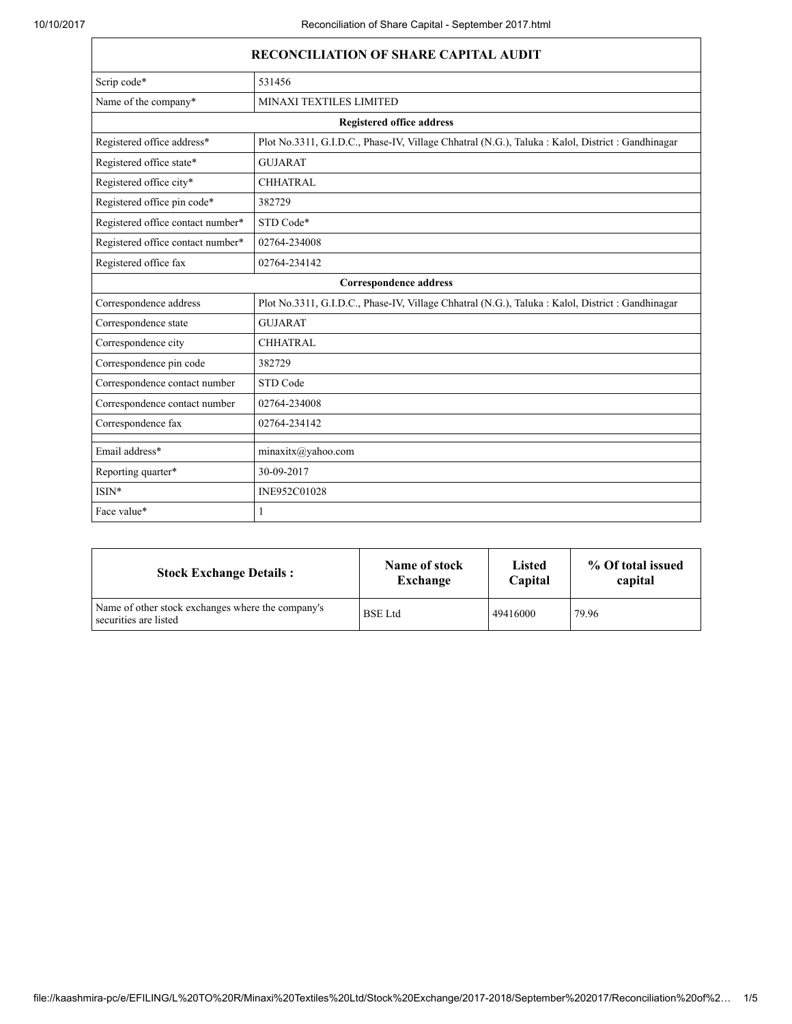| <b>RECONCILIATION OF SHARE CAPITAL AUDIT</b> |                                                                                                   |  |  |
|----------------------------------------------|---------------------------------------------------------------------------------------------------|--|--|
| Scrip code*                                  | 531456                                                                                            |  |  |
| Name of the company*                         | MINAXI TEXTILES LIMITED                                                                           |  |  |
| <b>Registered office address</b>             |                                                                                                   |  |  |
| Registered office address*                   | Plot No.3311, G.I.D.C., Phase-IV, Village Chhatral (N.G.), Taluka : Kalol, District : Gandhinagar |  |  |
| Registered office state*                     | <b>GUJARAT</b>                                                                                    |  |  |
| Registered office city*                      | <b>CHHATRAL</b>                                                                                   |  |  |
| Registered office pin code*                  | 382729                                                                                            |  |  |
| Registered office contact number*            | STD Code*                                                                                         |  |  |
| Registered office contact number*            | 02764-234008                                                                                      |  |  |
| Registered office fax                        | 02764-234142                                                                                      |  |  |
| <b>Correspondence address</b>                |                                                                                                   |  |  |
| Correspondence address                       | Plot No.3311, G.I.D.C., Phase-IV, Village Chhatral (N.G.), Taluka : Kalol, District : Gandhinagar |  |  |
| Correspondence state                         | <b>GUJARAT</b>                                                                                    |  |  |
| Correspondence city                          | <b>CHHATRAL</b>                                                                                   |  |  |
| Correspondence pin code                      | 382729                                                                                            |  |  |
| Correspondence contact number                | STD Code                                                                                          |  |  |
| Correspondence contact number                | 02764-234008                                                                                      |  |  |
| Correspondence fax                           | 02764-234142                                                                                      |  |  |
| Email address*                               | minaxitx@yahoo.com                                                                                |  |  |
| Reporting quarter*                           | 30-09-2017                                                                                        |  |  |
| $ISIN*$                                      | INE952C01028                                                                                      |  |  |
| Face value*                                  | $\mathbf{1}$                                                                                      |  |  |

| <b>Stock Exchange Details:</b>                                             | Name of stock  | <b>Listed</b> | % Of total issued |
|----------------------------------------------------------------------------|----------------|---------------|-------------------|
|                                                                            | Exchange       | Capital       | capital           |
| Name of other stock exchanges where the company's<br>securities are listed | <b>BSE</b> Ltd | 49416000      | 79.96             |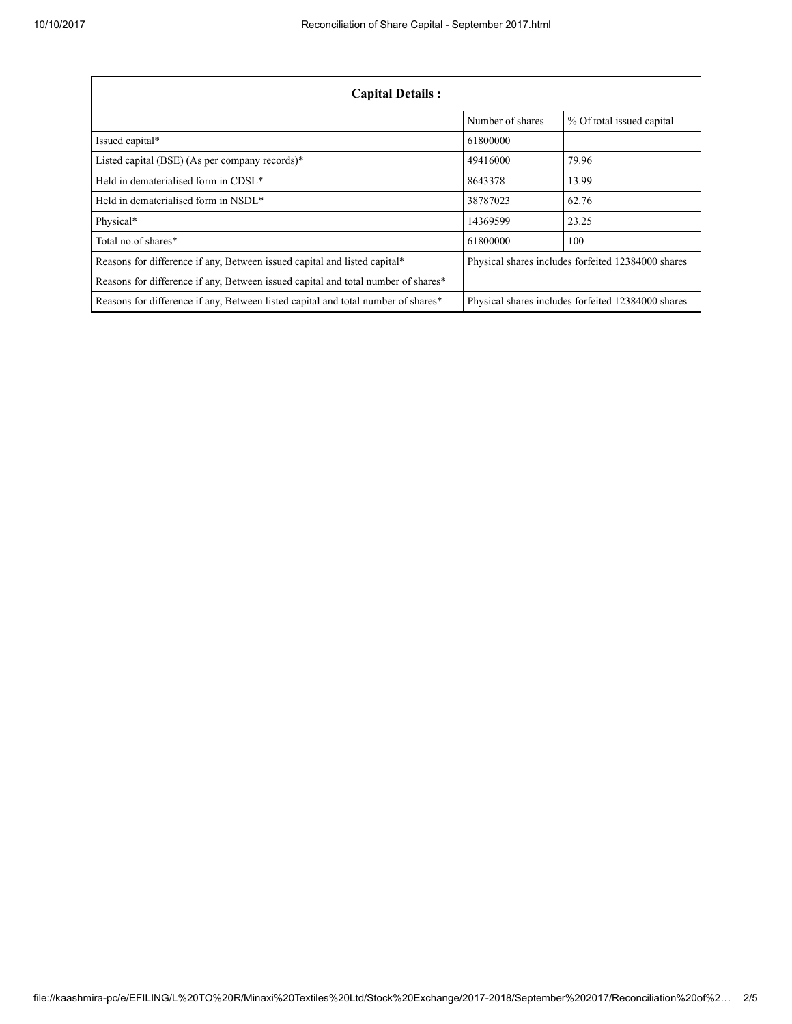| <b>Capital Details:</b>                                                           |                                                    |                                                    |  |
|-----------------------------------------------------------------------------------|----------------------------------------------------|----------------------------------------------------|--|
|                                                                                   | Number of shares                                   | % Of total issued capital                          |  |
| Issued capital*                                                                   | 61800000                                           |                                                    |  |
| Listed capital (BSE) (As per company records)*                                    | 49416000                                           | 79.96                                              |  |
| Held in dematerialised form in CDSL*                                              | 8643378                                            | 13.99                                              |  |
| Held in dematerialised form in NSDL*                                              | 38787023                                           | 62.76                                              |  |
| Physical*                                                                         | 14369599                                           | 23.25                                              |  |
| Total no.of shares*                                                               | 61800000                                           | 100                                                |  |
| Reasons for difference if any, Between issued capital and listed capital*         | Physical shares includes forfeited 12384000 shares |                                                    |  |
| Reasons for difference if any, Between issued capital and total number of shares* |                                                    |                                                    |  |
| Reasons for difference if any, Between listed capital and total number of shares* |                                                    | Physical shares includes forfeited 12384000 shares |  |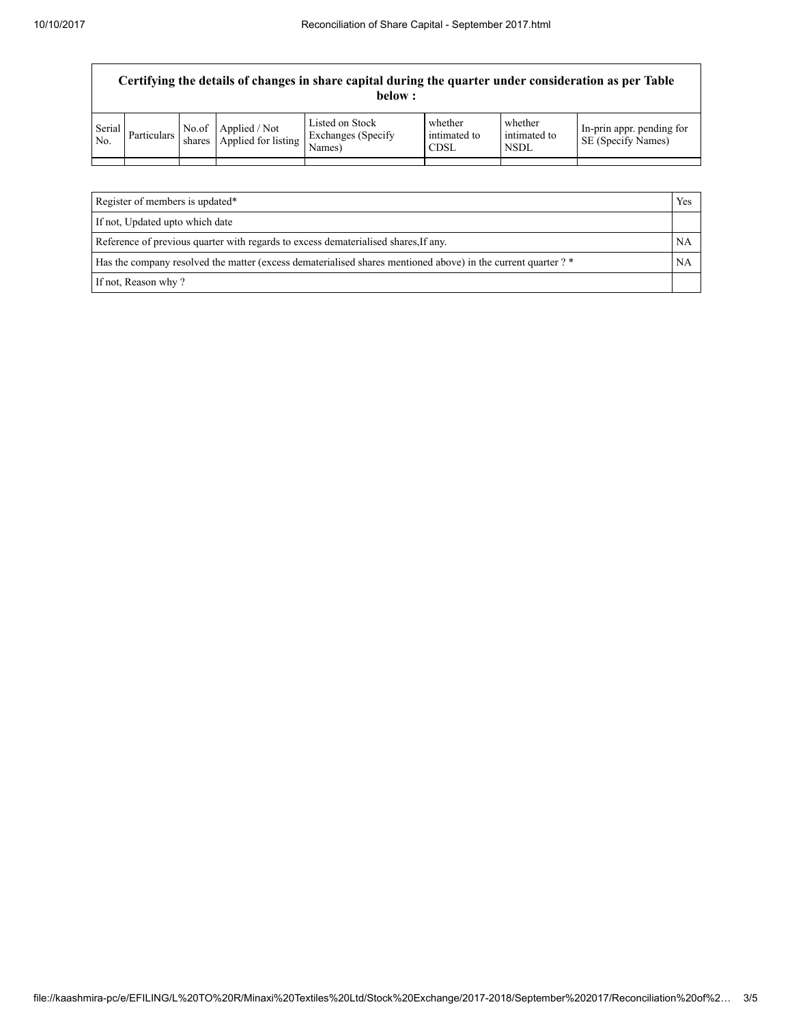| Certifying the details of changes in share capital during the quarter under consideration as per Table<br>below: |             |  |                                                   |                                                  |                                        |                                        |                                                 |
|------------------------------------------------------------------------------------------------------------------|-------------|--|---------------------------------------------------|--------------------------------------------------|----------------------------------------|----------------------------------------|-------------------------------------------------|
| Serial<br>N <sub>0</sub>                                                                                         | Particulars |  | No.of Applied / Not<br>shares Applied for listing | Listed on Stock<br>Exchanges (Specify)<br>Names) | whether<br>intimated to<br><b>CDSL</b> | whether<br>intimated to<br><b>NSDL</b> | In-prin appr. pending for<br>SE (Specify Names) |
|                                                                                                                  |             |  |                                                   |                                                  |                                        |                                        |                                                 |
|                                                                                                                  |             |  |                                                   |                                                  |                                        |                                        |                                                 |

| Register of members is updated*                                                                               |  |  |
|---------------------------------------------------------------------------------------------------------------|--|--|
| If not, Updated upto which date                                                                               |  |  |
| Reference of previous quarter with regards to excess dematerialised shares, If any.                           |  |  |
| Has the company resolved the matter (excess dematerialised shares mentioned above) in the current quarter ? * |  |  |
| If not, Reason why?                                                                                           |  |  |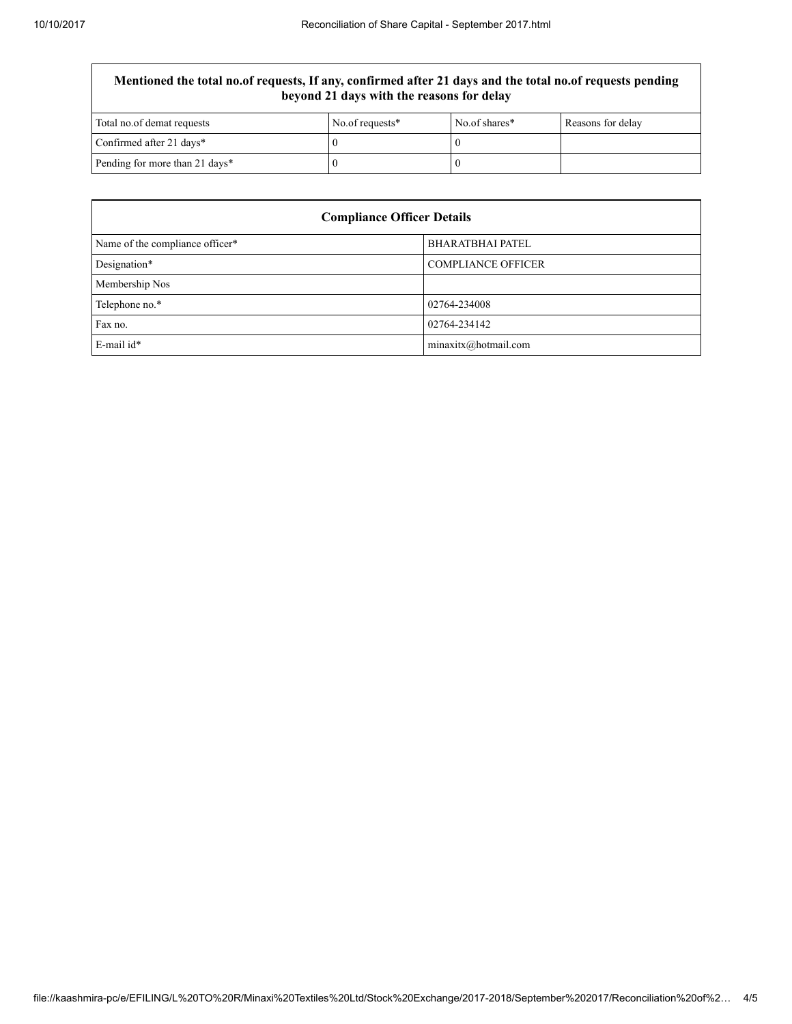## Mentioned the total no.of requests, If any, confirmed after 21 days and the total no.of requests pending beyond 21 days with the reasons for delay

| Total no.of demat requests     | No.of requests* | No of shares* | Reasons for delay |
|--------------------------------|-----------------|---------------|-------------------|
| Confirmed after 21 days*       |                 |               |                   |
| Pending for more than 21 days* |                 |               |                   |

| <b>Compliance Officer Details</b> |                           |  |  |
|-----------------------------------|---------------------------|--|--|
| Name of the compliance officer*   | <b>BHARATBHAI PATEL</b>   |  |  |
| Designation*                      | <b>COMPLIANCE OFFICER</b> |  |  |
| Membership Nos                    |                           |  |  |
| Telephone no.*                    | 02764-234008              |  |  |
| Fax no.                           | 02764-234142              |  |  |
| $E$ -mail id*                     | minaxitx@hotmail.com      |  |  |